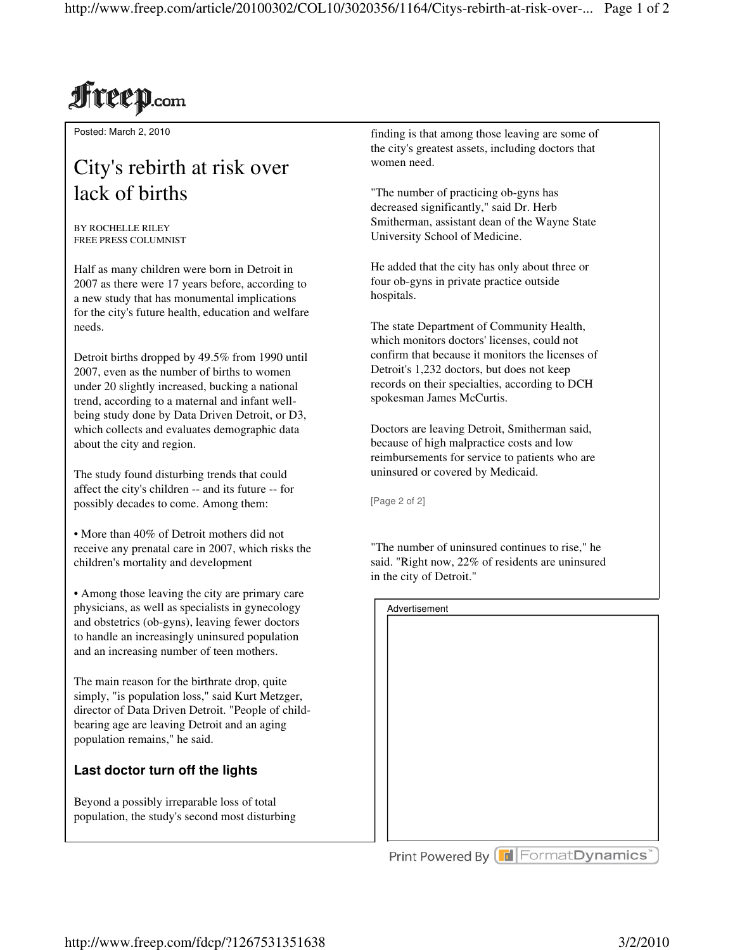# **Freep.com**

Posted: March 2, 2010

### City's rebirth at risk over lack of births

BY ROCHELLE RILEY FREE PRESS COLUMNIST

Half as many children were born in Detroit in 2007 as there were 17 years before, according to a new study that has monumental implications for the city's future health, education and welfare needs.

Detroit births dropped by 49.5% from 1990 until 2007, even as the number of births to women under 20 slightly increased, bucking a national trend, according to a maternal and infant wellbeing study done by Data Driven Detroit, or D3, which collects and evaluates demographic data about the city and region.

The study found disturbing trends that could affect the city's children -- and its future -- for possibly decades to come. Among them:

• More than 40% of Detroit mothers did not receive any prenatal care in 2007, which risks the children's mortality and development

• Among those leaving the city are primary care physicians, as well as specialists in gynecology and obstetrics (ob-gyns), leaving fewer doctors to handle an increasingly uninsured population and an increasing number of teen mothers.

The main reason for the birthrate drop, quite simply, "is population loss," said Kurt Metzger, director of Data Driven Detroit. "People of childbearing age are leaving Detroit and an aging population remains," he said.

#### **Last doctor turn off the lights**

Beyond a possibly irreparable loss of total population, the study's second most disturbing finding is that among those leaving are some of the city's greatest assets, including doctors that women need.

"The number of practicing ob-gyns has decreased significantly," said Dr. Herb Smitherman, assistant dean of the Wayne State University School of Medicine.

He added that the city has only about three or four ob-gyns in private practice outside hospitals.

The state Department of Community Health, which monitors doctors' licenses, could not confirm that because it monitors the licenses of Detroit's 1,232 doctors, but does not keep records on their specialties, according to DCH spokesman James McCurtis.

Doctors are leaving Detroit, Smitherman said, because of high malpractice costs and low reimbursements for service to patients who are uninsured or covered by Medicaid.

[Page 2 of 2]

"The number of uninsured continues to rise," he said. "Right now, 22% of residents are uninsured in the city of Detroit."

| Advertisement                        |  |  |
|--------------------------------------|--|--|
|                                      |  |  |
|                                      |  |  |
|                                      |  |  |
|                                      |  |  |
|                                      |  |  |
|                                      |  |  |
|                                      |  |  |
|                                      |  |  |
|                                      |  |  |
|                                      |  |  |
|                                      |  |  |
|                                      |  |  |
|                                      |  |  |
|                                      |  |  |
|                                      |  |  |
|                                      |  |  |
|                                      |  |  |
|                                      |  |  |
| Print Powered By [d FormatDynamics"] |  |  |